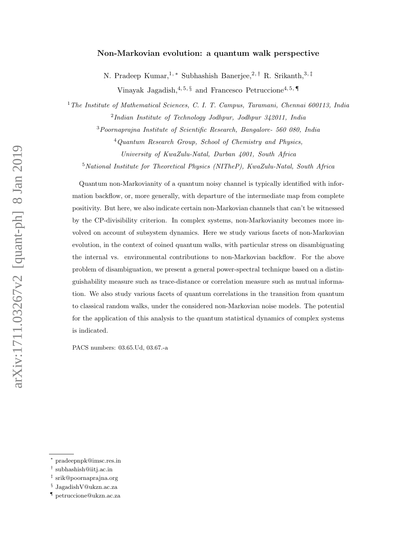# Non-Markovian evolution: a quantum walk perspective

N. Pradeep Kumar,<sup>1,\*</sup> Subhashish Banerjee,<sup>2,†</sup> R. Srikanth,<sup>3,‡</sup> Vinayak Jagadish,  $4, 5, \S$  and Francesco Petruccione<sup>4, 5, ¶</sup>

<sup>1</sup>*The Institute of Mathematical Sciences, C. I. T. Campus, Taramani, Chennai 600113, India* 2 *Indian Institute of Technology Jodhpur, Jodhpur 342011, India*

<sup>3</sup>*Poornaprajna Institute of Scientific Research, Bangalore- 560 080, India*

<sup>4</sup>*Quantum Research Group, School of Chemistry and Physics, University of KwaZulu-Natal, Durban 4001, South Africa*

<sup>5</sup>*National Institute for Theoretical Physics (NITheP), KwaZulu-Natal, South Africa*

Quantum non-Markovianity of a quantum noisy channel is typically identified with information backflow, or, more generally, with departure of the intermediate map from complete positivity. But here, we also indicate certain non-Markovian channels that can't be witnessed by the CP-divisibility criterion. In complex systems, non-Markovianity becomes more involved on account of subsystem dynamics. Here we study various facets of non-Markovian evolution, in the context of coined quantum walks, with particular stress on disambiguating the internal vs. environmental contributions to non-Markovian backflow. For the above problem of disambiguation, we present a general power-spectral technique based on a distinguishability measure such as trace-distance or correlation measure such as mutual information. We also study various facets of quantum correlations in the transition from quantum to classical random walks, under the considered non-Markovian noise models. The potential for the application of this analysis to the quantum statistical dynamics of complex systems is indicated.

PACS numbers: 03.65.Ud, 03.67.-a

arXiv:1711.03267v2 [quant-ph] 8 Jan 2019 arXiv:1711.03267v2 [quant-ph] 8 Jan 2019

<sup>∗</sup> pradeepnpk@imsc.res.in

<sup>†</sup> subhashish@iitj.ac.in

<sup>‡</sup> srik@poornaprajna.org

<sup>§</sup> JagadishV@ukzn.ac.za

<sup>¶</sup> petruccione@ukzn.ac.za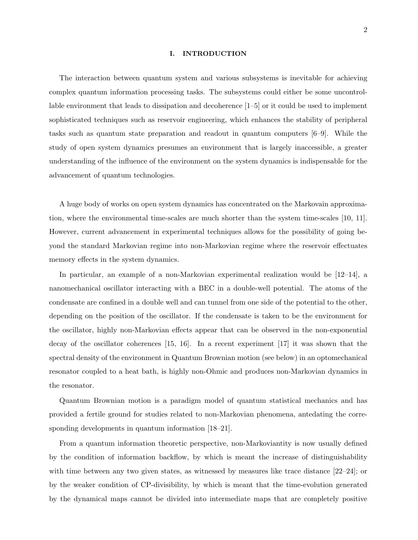#### I. INTRODUCTION

The interaction between quantum system and various subsystems is inevitable for achieving complex quantum information processing tasks. The subsystems could either be some uncontrollable environment that leads to dissipation and decoherence [1–5] or it could be used to implement sophisticated techniques such as reservoir engineering, which enhances the stability of peripheral tasks such as quantum state preparation and readout in quantum computers [6–9]. While the study of open system dynamics presumes an environment that is largely inaccessible, a greater understanding of the influence of the environment on the system dynamics is indispensable for the advancement of quantum technologies.

A huge body of works on open system dynamics has concentrated on the Markovain approximation, where the environmental time-scales are much shorter than the system time-scales [10, 11]. However, current advancement in experimental techniques allows for the possibility of going beyond the standard Markovian regime into non-Markovian regime where the reservoir effectuates memory effects in the system dynamics.

In particular, an example of a non-Markovian experimental realization would be [12–14], a nanomechanical oscillator interacting with a BEC in a double-well potential. The atoms of the condensate are confined in a double well and can tunnel from one side of the potential to the other, depending on the position of the oscillator. If the condensate is taken to be the environment for the oscillator, highly non-Markovian effects appear that can be observed in the non-exponential decay of the oscillator coherences [15, 16]. In a recent experiment [17] it was shown that the spectral density of the environment in Quantum Brownian motion (see below) in an optomechanical resonator coupled to a heat bath, is highly non-Ohmic and produces non-Markovian dynamics in the resonator.

Quantum Brownian motion is a paradigm model of quantum statistical mechanics and has provided a fertile ground for studies related to non-Markovian phenomena, antedating the corresponding developments in quantum information [18–21].

From a quantum information theoretic perspective, non-Markoviantity is now usually defined by the condition of information backflow, by which is meant the increase of distinguishability with time between any two given states, as witnessed by measures like trace distance [22–24]; or by the weaker condition of CP-divisibility, by which is meant that the time-evolution generated by the dynamical maps cannot be divided into intermediate maps that are completely positive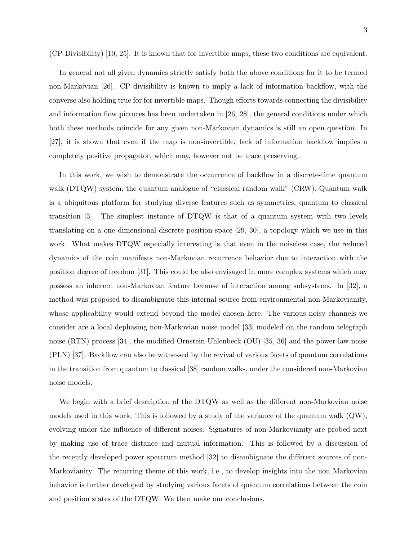(CP-Divisibility) [10, 25]. It is known that for invertible maps, these two conditions are equivalent.

In general not all given dynamics strictly satisfy both the above conditions for it to be termed non-Markovian [26]. CP divisibility is known to imply a lack of information backflow, with the converse also holding true for for invertible maps. Though efforts towards connecting the divisibility and information flow pictures has been undertaken in [26, 28], the general conditions under which both these methods coincide for any given non-Markovian dynamics is still an open question. In [27], it is shown that even if the map is non-invertible, lack of information backflow implies a completely positive propagator, which may, however not be trace preserving.

In this work, we wish to demonstrate the occurrence of backflow in a discrete-time quantum walk (DTQW) system, the quantum analogue of "classical random walk" (CRW). Quantum walk is a ubiquitous platform for studying diverse features such as symmetries, quantum to classical transition [3]. The simplest instance of DTQW is that of a quantum system with two levels translating on a one dimensional discrete position space [29, 30], a topology which we use in this work. What makes DTQW especially interesting is that even in the noiseless case, the reduced dynamics of the coin manifests non-Markovian recurrence behavior due to interaction with the position degree of freedom [31]. This could be also envisaged in more complex systems which may possess an inherent non-Markovian feature because of interaction among subsystems. In [32], a method was proposed to disambiguate this internal source from environmental non-Markovianity, whose applicability would extend beyond the model chosen here. The various noisy channels we consider are a local dephasing non-Markovian noise model [33] modeled on the random telegraph noise (RTN) process [34], the modified Ornstein-Uhlenbeck (OU) [35, 36] and the power law noise (PLN) [37]. Backflow can also be witnessed by the revival of various facets of quantum correlations in the transition from quantum to classical [38] random walks, under the considered non-Markovian noise models.

We begin with a brief description of the DTQW as well as the different non-Markovian noise models used in this work. This is followed by a study of the variance of the quantum walk  $(QW)$ , evolving under the influence of different noises. Signatures of non-Markovianity are probed next by making use of trace distance and mutual information. This is followed by a discussion of the recently developed power spectrum method [32] to disambiguate the different sources of non-Markovianity. The recurring theme of this work, i.e., to develop insights into the non Markovian behavior is further developed by studying various facets of quantum correlations between the coin and position states of the DTQW. We then make our conclusions.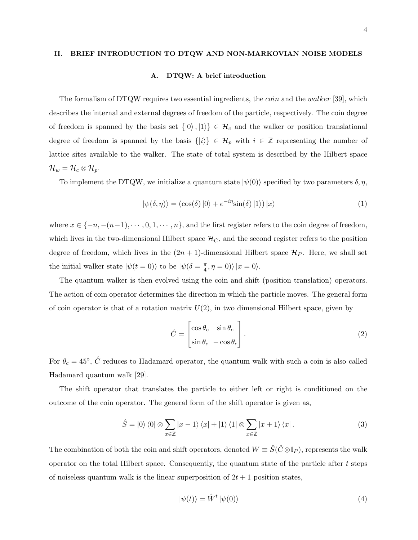#### II. BRIEF INTRODUCTION TO DTQW AND NON-MARKOVIAN NOISE MODELS

### A. DTQW: A brief introduction

The formalism of DTQW requires two essential ingredients, the *coin* and the *walker* [39], which describes the internal and external degrees of freedom of the particle, respectively. The coin degree of freedom is spanned by the basis set  $\{|0\rangle, |1\rangle\} \in \mathcal{H}_c$  and the walker or position translational degree of freedom is spanned by the basis  $\{|i\rangle\} \in \mathcal{H}_p$  with  $i \in \mathbb{Z}$  representing the number of lattice sites available to the walker. The state of total system is described by the Hilbert space  $\mathcal{H}_w = \mathcal{H}_c \otimes \mathcal{H}_p.$ 

To implement the DTQW, we initialize a quantum state  $|\psi(0)\rangle$  specified by two parameters  $\delta, \eta$ ,

$$
|\psi(\delta,\eta)\rangle = (\cos(\delta)|0\rangle + e^{-i\eta}\sin(\delta)|1\rangle)|x\rangle \tag{1}
$$

where  $x \in \{-n, -(n-1), \cdots, 0, 1, \cdots, n\}$ , and the first register refers to the coin degree of freedom, which lives in the two-dimensional Hilbert space  $\mathcal{H}_C$ , and the second register refers to the position degree of freedom, which lives in the  $(2n + 1)$ -dimensional Hilbert space  $\mathcal{H}_P$ . Here, we shall set the initial walker state  $|\psi(t=0)\rangle$  to be  $|\psi(\delta=\frac{\pi}{4})\rangle$  $\frac{\pi}{4}, \eta = 0$ )  $|x = 0\rangle$ .

The quantum walker is then evolved using the coin and shift (position translation) operators. The action of coin operator determines the direction in which the particle moves. The general form of coin operator is that of a rotation matrix  $U(2)$ , in two dimensional Hilbert space, given by

$$
\hat{C} = \begin{bmatrix} \cos \theta_c & \sin \theta_c \\ \sin \theta_c & -\cos \theta_c \end{bmatrix} . \tag{2}
$$

For  $\theta_c = 45^{\circ}$ ,  $\hat{C}$  reduces to Hadamard operator, the quantum walk with such a coin is also called Hadamard quantum walk [29].

The shift operator that translates the particle to either left or right is conditioned on the outcome of the coin operator. The general form of the shift operator is given as,

$$
\hat{S} = |0\rangle\langle 0| \otimes \sum_{x \in \mathbb{Z}} |x - 1\rangle\langle x| + |1\rangle\langle 1| \otimes \sum_{x \in \mathbb{Z}} |x + 1\rangle\langle x|.
$$
 (3)

The combination of both the coin and shift operators, denoted  $W = \hat{S}(\hat{C} \otimes \mathbb{I}_P)$ , represents the walk operator on the total Hilbert space. Consequently, the quantum state of the particle after  $t$  steps of noiseless quantum walk is the linear superposition of  $2t + 1$  position states,

$$
|\psi(t)\rangle = \hat{W}^t |\psi(0)\rangle \tag{4}
$$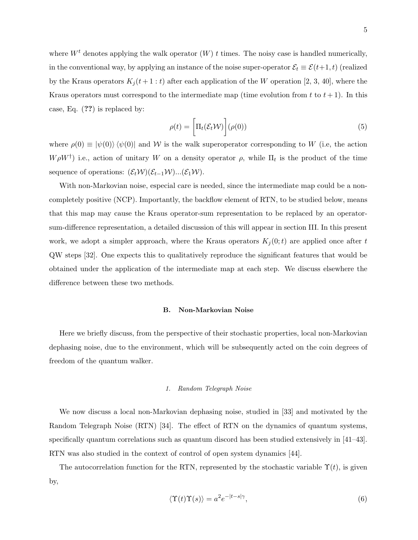where  $W<sup>t</sup>$  denotes applying the walk operator  $(W)$  t times. The noisy case is handled numerically, in the conventional way, by applying an instance of the noise super-operator  $\mathcal{E}_t \equiv \mathcal{E}(t+1, t)$  (realized by the Kraus operators  $K_j(t+1:t)$  after each application of the W operation [2, 3, 40], where the Kraus operators must correspond to the intermediate map (time evolution from t to  $t + 1$ ). In this case, Eq.  $(??)$  is replaced by:

$$
\rho(t) = \left[\Pi_t(\mathcal{E}_t \mathcal{W})\right](\rho(0))\tag{5}
$$

where  $\rho(0) \equiv |\psi(0)\rangle \langle \psi(0)|$  and W is the walk superoperator corresponding to W (i.e, the action  $W\rho W^{\dagger}$ ) i.e., action of unitary W on a density operator  $\rho$ , while  $\Pi_t$  is the product of the time sequence of operations:  $(\mathcal{E}_t \mathcal{W})(\mathcal{E}_{t-1}\mathcal{W})...(\mathcal{E}_1\mathcal{W})$ .

With non-Markovian noise, especial care is needed, since the intermediate map could be a noncompletely positive (NCP). Importantly, the backflow element of RTN, to be studied below, means that this map may cause the Kraus operator-sum representation to be replaced by an operatorsum-difference representation, a detailed discussion of this will appear in section III. In this present work, we adopt a simpler approach, where the Kraus operators  $K_j(0;t)$  are applied once after t QW steps [32]. One expects this to qualitatively reproduce the significant features that would be obtained under the application of the intermediate map at each step. We discuss elsewhere the difference between these two methods.

## B. Non-Markovian Noise

Here we briefly discuss, from the perspective of their stochastic properties, local non-Markovian dephasing noise, due to the environment, which will be subsequently acted on the coin degrees of freedom of the quantum walker.

#### *1. Random Telegraph Noise*

We now discuss a local non-Markovian dephasing noise, studied in [33] and motivated by the Random Telegraph Noise (RTN) [34]. The effect of RTN on the dynamics of quantum systems, specifically quantum correlations such as quantum discord has been studied extensively in [41–43]. RTN was also studied in the context of control of open system dynamics [44].

The autocorrelation function for the RTN, represented by the stochastic variable  $\Upsilon(t)$ , is given by,

$$
\langle \Upsilon(t)\Upsilon(s) \rangle = a^2 e^{-|t-s|\gamma},\tag{6}
$$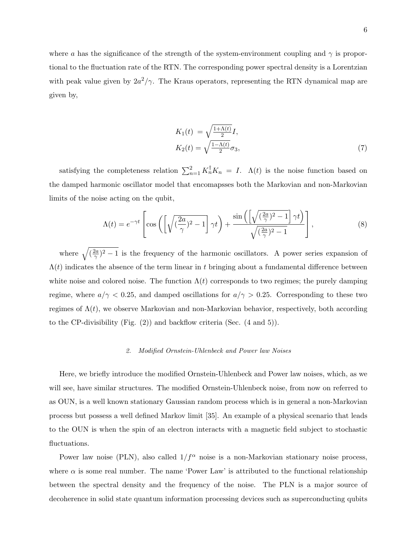where a has the significance of the strength of the system-environment coupling and  $\gamma$  is proportional to the fluctuation rate of the RTN. The corresponding power spectral density is a Lorentzian with peak value given by  $2a^2/\gamma$ . The Kraus operators, representing the RTN dynamical map are given by,

$$
K_1(t) = \sqrt{\frac{1 + \Lambda(t)}{2}} I,
$$
  
\n
$$
K_2(t) = \sqrt{\frac{1 - \Lambda(t)}{2}} \sigma_3,
$$
\n(7)

satisfying the completeness relation  $\sum_{n=1}^{2} K_n^{\dagger} K_n = I$ .  $\Lambda(t)$  is the noise function based on the damped harmonic oscillator model that encomapsses both the Markovian and non-Markovian limits of the noise acting on the qubit,

$$
\Lambda(t) = e^{-\gamma t} \left[ \cos \left( \left[ \sqrt{\left(\frac{2a}{\gamma}\right)^2 - 1} \right] \gamma t \right) + \frac{\sin \left( \left[ \sqrt{\left(\frac{2a}{\gamma}\right)^2 - 1} \right] \gamma t \right)}{\sqrt{\left(\frac{2a}{\gamma}\right)^2 - 1}} \right],\tag{8}
$$

where  $\sqrt{\left(\frac{2a}{\gamma}\right)^2-1}$  is the frequency of the harmonic oscillators. A power series expansion of  $\Lambda(t)$  indicates the absence of the term linear in t bringing about a fundamental difference between white noise and colored noise. The function  $\Lambda(t)$  corresponds to two regimes; the purely damping regime, where  $a/\gamma < 0.25$ , and damped oscillations for  $a/\gamma > 0.25$ . Corresponding to these two regimes of  $\Lambda(t)$ , we observe Markovian and non-Markovian behavior, respectively, both according to the CP-divisibility (Fig. (2)) and backflow criteria (Sec. (4 and 5)).

#### *2. Modified Ornstein-Uhlenbeck and Power law Noises*

Here, we briefly introduce the modified Ornstein-Uhlenbeck and Power law noises, which, as we will see, have similar structures. The modified Ornstein-Uhlenbeck noise, from now on referred to as OUN, is a well known stationary Gaussian random process which is in general a non-Markovian process but possess a well defined Markov limit [35]. An example of a physical scenario that leads to the OUN is when the spin of an electron interacts with a magnetic field subject to stochastic fluctuations.

Power law noise (PLN), also called  $1/f^{\alpha}$  noise is a non-Markovian stationary noise process, where  $\alpha$  is some real number. The name 'Power Law' is attributed to the functional relationship between the spectral density and the frequency of the noise. The PLN is a major source of decoherence in solid state quantum information processing devices such as superconducting qubits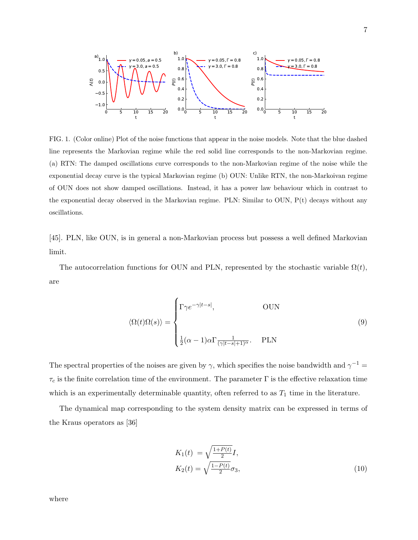

FIG. 1. (Color online) Plot of the noise functions that appear in the noise models. Note that the blue dashed line represents the Markovian regime while the red solid line corresponds to the non-Markovian regime. (a) RTN: The damped oscillations curve corresponds to the non-Markovian regime of the noise while the exponential decay curve is the typical Markovian regime (b) OUN: Unlike RTN, the non-Markoivan regime of OUN does not show damped oscillations. Instead, it has a power law behaviour which in contrast to the exponential decay observed in the Markovian regime. PLN: Similar to OUN,  $P(t)$  decays without any oscillations.

[45]. PLN, like OUN, is in general a non-Markovian process but possess a well defined Markovian limit.

The autocorrelation functions for OUN and PLN, represented by the stochastic variable  $\Omega(t)$ , are

$$
\langle \Omega(t)\Omega(s)\rangle = \begin{cases} \Gamma\gamma e^{-\gamma|t-s|}, & \text{OUN} \\ \\ \frac{1}{2}(\alpha-1)\alpha \Gamma \frac{1}{(\gamma|t-s|+1)^{\alpha}}. & \text{PLN} \end{cases}
$$
(9)

The spectral properties of the noises are given by  $\gamma$ , which specifies the noise bandwidth and  $\gamma^{-1} =$  $\tau_c$  is the finite correlation time of the environment. The parameter  $\Gamma$  is the effective relaxation time which is an experimentally determinable quantity, often referred to as  $T_1$  time in the literature.

The dynamical map corresponding to the system density matrix can be expressed in terms of the Kraus operators as [36]

$$
K_1(t) = \sqrt{\frac{1+P(t)}{2}}I,
$$
  
\n
$$
K_2(t) = \sqrt{\frac{1-P(t)}{2}}\sigma_3,
$$
\n(10)

where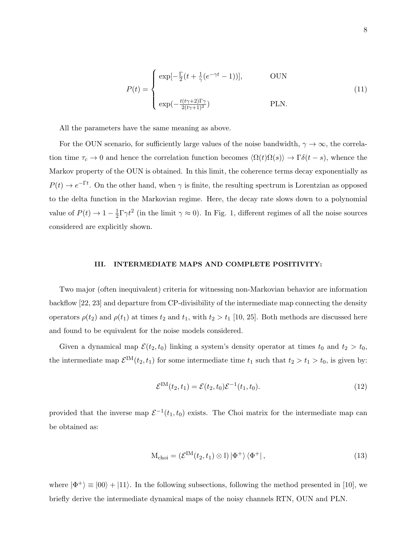$$
P(t) = \begin{cases} \exp[-\frac{\Gamma}{2}(t + \frac{1}{\gamma}(e^{-\gamma t} - 1))], & \text{OUN} \\ \exp(-\frac{t(t\gamma + 2)\Gamma\gamma}{2(t\gamma + 1)^2}) & \text{PLN.} \end{cases}
$$
(11)

All the parameters have the same meaning as above.

For the OUN scenario, for sufficiently large values of the noise bandwidth,  $\gamma \to \infty$ , the correlation time  $\tau_c \to 0$  and hence the correlation function becomes  $\langle \Omega(t)\Omega(s)\rangle \to \Gamma\delta(t-s)$ , whence the Markov property of the OUN is obtained. In this limit, the coherence terms decay exponentially as  $P(t) \to e^{-\Gamma t}$ . On the other hand, when  $\gamma$  is finite, the resulting spectrum is Lorentzian as opposed to the delta function in the Markovian regime. Here, the decay rate slows down to a polynomial value of  $P(t) \to 1 - \frac{1}{2}$  $\frac{1}{2}\Gamma\gamma t^2$  (in the limit  $\gamma \approx 0$ ). In Fig. 1, different regimes of all the noise sources considered are explicitly shown.

#### III. INTERMEDIATE MAPS AND COMPLETE POSITIVITY:

Two major (often inequivalent) criteria for witnessing non-Markovian behavior are information backflow [22, 23] and departure from CP-divisibility of the intermediate map connecting the density operators  $\rho(t_2)$  and  $\rho(t_1)$  at times  $t_2$  and  $t_1$ , with  $t_2 > t_1$  [10, 25]. Both methods are discussed here and found to be equivalent for the noise models considered.

Given a dynamical map  $\mathcal{E}(t_2, t_0)$  linking a system's density operator at times  $t_0$  and  $t_2 > t_0$ , the intermediate map  $\mathcal{E}^{\text{IM}}(t_2, t_1)$  for some intermediate time  $t_1$  such that  $t_2 > t_1 > t_0$ , is given by:

$$
\mathcal{E}^{\text{IM}}(t_2, t_1) = \mathcal{E}(t_2, t_0) \mathcal{E}^{-1}(t_1, t_0).
$$
\n(12)

provided that the inverse map  $\mathcal{E}^{-1}(t_1,t_0)$  exists. The Choi matrix for the intermediate map can be obtained as:

$$
M_{\text{choi}} = \left(\mathcal{E}^{\text{IM}}(t_2, t_1) \otimes \mathbb{I}\right) |\Phi^+\rangle \langle \Phi^+| \,, \tag{13}
$$

where  $|\Phi^+\rangle \equiv |00\rangle + |11\rangle$ . In the following subsections, following the method presented in [10], we briefly derive the intermediate dynamical maps of the noisy channels RTN, OUN and PLN.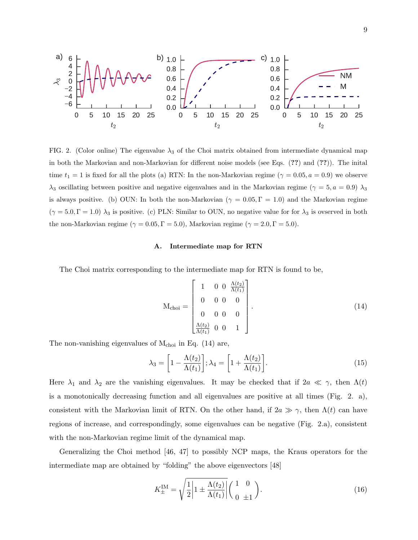

FIG. 2. (Color online) The eigenvalue  $\lambda_3$  of the Choi matrix obtained from intermediate dynamical map in both the Markovian and non-Markovian for different noise models (see Eqs. (??) and (??)). The inital time  $t_1 = 1$  is fixed for all the plots (a) RTN: In the non-Markovian regime ( $\gamma = 0.05, a = 0.9$ ) we observe  $\lambda_3$  oscillating between positive and negative eigenvalues and in the Markovian regime ( $\gamma = 5, a = 0.9$ )  $\lambda_3$ is always positive. (b) OUN: In both the non-Markovian ( $\gamma = 0.05$ ,  $\Gamma = 1.0$ ) and the Markovian regime  $(\gamma = 5.0, \Gamma = 1.0)$   $\lambda_3$  is positive. (c) PLN: Similar to OUN, no negative value for for  $\lambda_3$  is ovserved in both the non-Markovian regime ( $\gamma = 0.05, \Gamma = 5.0$ ), Markovian regime ( $\gamma = 2.0, \Gamma = 5.0$ ).

#### A. Intermediate map for RTN

The Choi matrix corresponding to the intermediate map for RTN is found to be,

$$
M_{\text{choi}} = \begin{bmatrix} 1 & 0 & 0 & \frac{\Lambda(t_2)}{\Lambda(t_1)} \\ 0 & 0 & 0 & 0 \\ 0 & 0 & 0 & 0 \\ \frac{\Lambda(t_2)}{\Lambda(t_1)} & 0 & 0 & 1 \end{bmatrix} . \tag{14}
$$

The non-vanishing eigenvalues of  $M_{\text{choi}}$  in Eq. (14) are,

$$
\lambda_3 = \left[1 - \frac{\Lambda(t_2)}{\Lambda(t_1)}\right]; \lambda_4 = \left[1 + \frac{\Lambda(t_2)}{\Lambda(t_1)}\right].\tag{15}
$$

Here  $\lambda_1$  and  $\lambda_2$  are the vanishing eigenvalues. It may be checked that if  $2a \ll \gamma$ , then  $\Lambda(t)$ is a monotonically decreasing function and all eigenvalues are positive at all times (Fig. 2. a), consistent with the Markovian limit of RTN. On the other hand, if  $2a \gg \gamma$ , then  $\Lambda(t)$  can have regions of increase, and correspondingly, some eigenvalues can be negative (Fig. 2.a), consistent with the non-Markovian regime limit of the dynamical map.

Generalizing the Choi method [46, 47] to possibly NCP maps, the Kraus operators for the intermediate map are obtained by "folding" the above eigenvectors [48]

$$
K_{\pm}^{\text{IM}} = \sqrt{\frac{1}{2} \left| 1 \pm \frac{\Lambda(t_2)}{\Lambda(t_1)} \right|} \left( \begin{array}{cc} 1 & 0 \\ 0 & \pm 1 \end{array} \right). \tag{16}
$$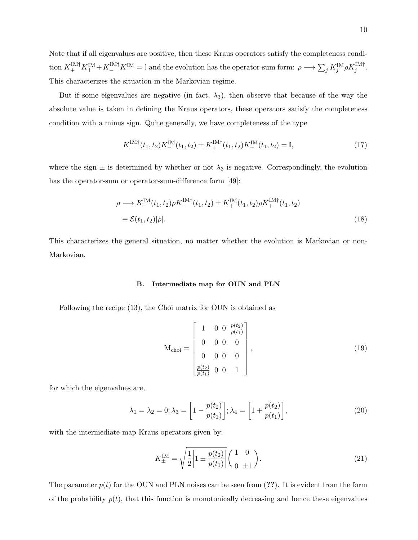Note that if all eigenvalues are positive, then these Kraus operators satisfy the completeness condition  $K_+^{\text{IM}\dagger} K_+^{\text{IM}\dagger} K_-^{\text{IM}\dagger} = \mathbb{I}$  and the evolution has the operator-sum form:  $\rho \longrightarrow \sum_j K_j^{\text{IM}} \rho K_j^{\text{IM}\dagger}$ . This characterizes the situation in the Markovian regime.

But if some eigenvalues are negative (in fact,  $\lambda_3$ ), then observe that because of the way the absolute value is taken in defining the Kraus operators, these operators satisfy the completeness condition with a minus sign. Quite generally, we have completeness of the type

$$
K_{-}^{\text{IM}\dagger}(t_1, t_2) K_{-}^{\text{IM}}(t_1, t_2) \pm K_{+}^{\text{IM}\dagger}(t_1, t_2) K_{+}^{\text{IM}}(t_1, t_2) = \mathbb{I},\tag{17}
$$

where the sign  $\pm$  is determined by whether or not  $\lambda_3$  is negative. Correspondingly, the evolution has the operator-sum or operator-sum-difference form [49]:

$$
\rho \longrightarrow K_{-}^{\text{IM}}(t_1, t_2) \rho K_{-}^{\text{IM}\dagger}(t_1, t_2) \pm K_{+}^{\text{IM}}(t_1, t_2) \rho K_{+}^{\text{IM}\dagger}(t_1, t_2)
$$
  

$$
\equiv \mathcal{E}(t_1, t_2)[\rho]. \tag{18}
$$

This characterizes the general situation, no matter whether the evolution is Markovian or non-Markovian.

#### B. Intermediate map for OUN and PLN

Following the recipe (13), the Choi matrix for OUN is obtained as

$$
M_{\text{choi}} = \begin{bmatrix} 1 & 0 & 0 & \frac{p(t_2)}{p(t_1)} \\ 0 & 0 & 0 & 0 \\ 0 & 0 & 0 & 0 \\ \frac{p(t_2)}{p(t_1)} & 0 & 0 & 1 \end{bmatrix},
$$
(19)

for which the eigenvalues are,

$$
\lambda_1 = \lambda_2 = 0; \lambda_3 = \left[1 - \frac{p(t_2)}{p(t_1)}\right]; \lambda_4 = \left[1 + \frac{p(t_2)}{p(t_1)}\right],\tag{20}
$$

with the intermediate map Kraus operators given by:

$$
K_{\pm}^{\text{IM}} = \sqrt{\frac{1}{2} \left| 1 \pm \frac{p(t_2)}{p(t_1)} \right|} \left( \frac{1}{0} \frac{0}{\pm 1} \right). \tag{21}
$$

The parameter  $p(t)$  for the OUN and PLN noises can be seen from (??). It is evident from the form of the probability  $p(t)$ , that this function is monotonically decreasing and hence these eigenvalues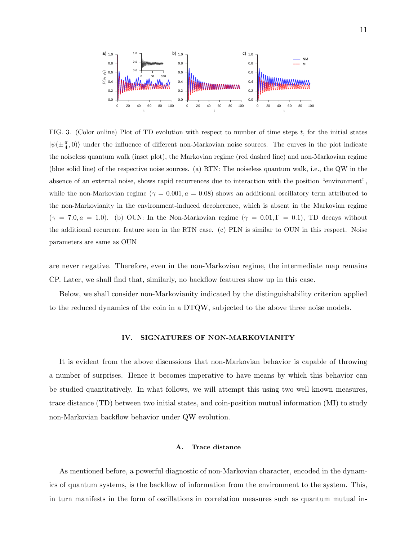

FIG. 3. (Color online) Plot of TD evolution with respect to number of time steps  $t$ , for the initial states  $|\psi(\pm \frac{\pi}{4},0)\rangle$  under the influence of different non-Markovian noise sources. The curves in the plot indicate the noiseless quantum walk (inset plot), the Markovian regime (red dashed line) and non-Markovian regime (blue solid line) of the respective noise sources. (a) RTN: The noiseless quantum walk, i.e., the QW in the absence of an external noise, shows rapid recurrences due to interaction with the position "environment", while the non-Markovian regime ( $\gamma = 0.001, a = 0.08$ ) shows an additional oscillatory term attributed to the non-Markovianity in the environment-induced decoherence, which is absent in the Markovian regime  $(\gamma = 7.0, a = 1.0)$ . (b) OUN: In the Non-Markovian regime  $(\gamma = 0.01, \Gamma = 0.1)$ , TD decays without the additional recurrent feature seen in the RTN case. (c) PLN is similar to OUN in this respect. Noise parameters are same as OUN

are never negative. Therefore, even in the non-Markovian regime, the intermediate map remains CP. Later, we shall find that, similarly, no backflow features show up in this case.

Below, we shall consider non-Markovianity indicated by the distinguishability criterion applied to the reduced dynamics of the coin in a DTQW, subjected to the above three noise models.

### IV. SIGNATURES OF NON-MARKOVIANITY

It is evident from the above discussions that non-Markovian behavior is capable of throwing a number of surprises. Hence it becomes imperative to have means by which this behavior can be studied quantitatively. In what follows, we will attempt this using two well known measures, trace distance (TD) between two initial states, and coin-position mutual information (MI) to study non-Markovian backflow behavior under QW evolution.

# A. Trace distance

As mentioned before, a powerful diagnostic of non-Markovian character, encoded in the dynamics of quantum systems, is the backflow of information from the environment to the system. This, in turn manifests in the form of oscillations in correlation measures such as quantum mutual in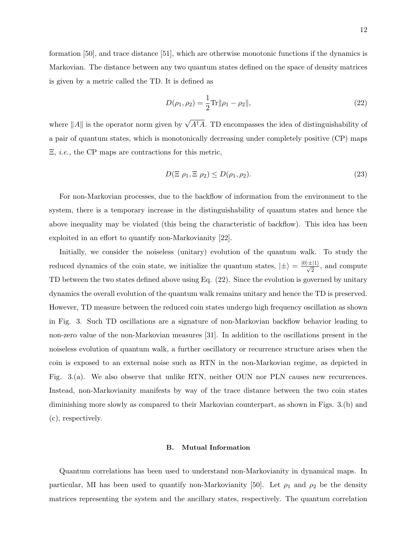formation [50], and trace distance [51], which are otherwise monotonic functions if the dynamics is Markovian. The distance between any two quantum states defined on the space of density matrices is given by a metric called the TD. It is defined as

$$
D(\rho_1, \rho_2) = \frac{1}{2} \text{Tr} ||\rho_1 - \rho_2||, \qquad (22)
$$

where  $||A||$  is the operator norm given by  $\sqrt{A^{\dagger}A}$ . TD encompasses the idea of distinguishability of a pair of quantum states, which is monotonically decreasing under completely positive (CP) maps Ξ, *i.e.,* the CP maps are contractions for this metric,

$$
D(\Xi \rho_1, \Xi \rho_2) \le D(\rho_1, \rho_2). \tag{23}
$$

For non-Markovian processes, due to the backflow of information from the environment to the system, there is a temporary increase in the distinguishability of quantum states and hence the above inequality may be violated (this being the characteristic of backflow). This idea has been exploited in an effort to quantify non-Markovianity [22].

Initially, we consider the noiseless (unitary) evolution of the quantum walk. To study the reduced dynamics of the coin state, we initialize the quantum states,  $|\pm\rangle = \frac{|0\rangle \pm |1\rangle}{\sqrt{2}}$ , and compute TD between the two states defined above using Eq. (22). Since the evolution is governed by unitary dynamics the overall evolution of the quantum walk remains unitary and hence the TD is preserved. However, TD measure between the reduced coin states undergo high frequency oscillation as shown in Fig. 3. Such TD oscillations are a signature of non-Markovian backflow behavior leading to non-zero value of the non-Markovian measures [31]. In addition to the oscillations present in the noiseless evolution of quantum walk, a further oscillatory or recurrence structure arises when the coin is exposed to an external noise such as RTN in the non-Markovian regime, as depicted in Fig. 3.(a). We also observe that unlike RTN, neither OUN nor PLN causes new recurrences. Instead, non-Markovianity manifests by way of the trace distance between the two coin states diminishing more slowly as compared to their Markovian counterpart, as shown in Figs. 3.(b) and (c), respectively.

# B. Mutual Information

Quantum correlations has been used to understand non-Markovianity in dynamical maps. In particular, MI has been used to quantify non-Markovianity [50]. Let  $\rho_1$  and  $\rho_2$  be the density matrices representing the system and the ancillary states, respectively. The quantum correlation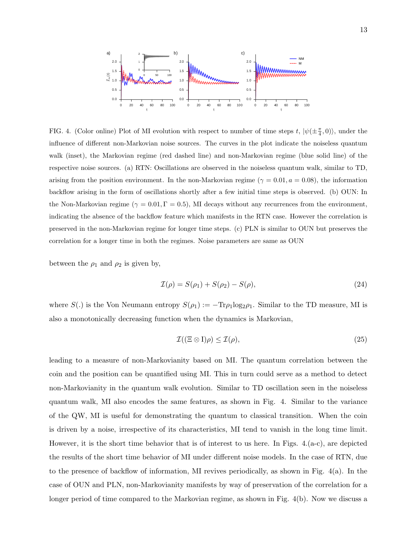

FIG. 4. (Color online) Plot of MI evolution with respect to number of time steps  $t, |\psi(\pm \frac{\pi}{4},0)\rangle$ , under the influence of different non-Markovian noise sources. The curves in the plot indicate the noiseless quantum walk (inset), the Markovian regime (red dashed line) and non-Markovian regime (blue solid line) of the respective noise sources. (a) RTN: Oscillations are observed in the noiseless quantum walk, similar to TD, arising from the position environment. In the non-Markovian regime ( $\gamma = 0.01, a = 0.08$ ), the information backflow arising in the form of oscillations shortly after a few initial time steps is observed. (b) OUN: In the Non-Markovian regime ( $\gamma = 0.01, \Gamma = 0.5$ ), MI decays without any recurrences from the environment, indicating the absence of the backflow feature which manifests in the RTN case. However the correlation is preserved in the non-Markovian regime for longer time steps. (c) PLN is similar to OUN but preserves the correlation for a longer time in both the regimes. Noise parameters are same as OUN

between the  $\rho_1$  and  $\rho_2$  is given by,

$$
\mathcal{I}(\rho) = S(\rho_1) + S(\rho_2) - S(\rho),\tag{24}
$$

where  $S(.)$  is the Von Neumann entropy  $S(\rho_1) := -\text{Tr}\rho_1 \log_2 \rho_1$ . Similar to the TD measure, MI is also a monotonically decreasing function when the dynamics is Markovian,

$$
\mathcal{I}((\Xi \otimes I)\rho) \le \mathcal{I}(\rho),\tag{25}
$$

leading to a measure of non-Markovianity based on MI. The quantum correlation between the coin and the position can be quantified using MI. This in turn could serve as a method to detect non-Markovianity in the quantum walk evolution. Similar to TD oscillation seen in the noiseless quantum walk, MI also encodes the same features, as shown in Fig. 4. Similar to the variance of the QW, MI is useful for demonstrating the quantum to classical transition. When the coin is driven by a noise, irrespective of its characteristics, MI tend to vanish in the long time limit. However, it is the short time behavior that is of interest to us here. In Figs. 4.(a-c), are depicted the results of the short time behavior of MI under different noise models. In the case of RTN, due to the presence of backflow of information, MI revives periodically, as shown in Fig. 4(a). In the case of OUN and PLN, non-Markovianity manifests by way of preservation of the correlation for a longer period of time compared to the Markovian regime, as shown in Fig. 4(b). Now we discuss a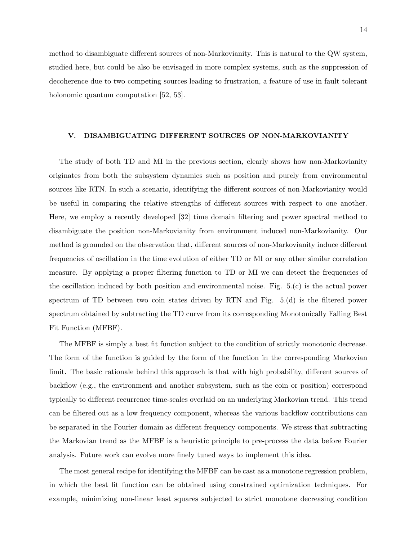method to disambiguate different sources of non-Markovianity. This is natural to the QW system, studied here, but could be also be envisaged in more complex systems, such as the suppression of decoherence due to two competing sources leading to frustration, a feature of use in fault tolerant holonomic quantum computation [52, 53].

# V. DISAMBIGUATING DIFFERENT SOURCES OF NON-MARKOVIANITY

The study of both TD and MI in the previous section, clearly shows how non-Markovianity originates from both the subsystem dynamics such as position and purely from environmental sources like RTN. In such a scenario, identifying the different sources of non-Markovianity would be useful in comparing the relative strengths of different sources with respect to one another. Here, we employ a recently developed [32] time domain filtering and power spectral method to disambiguate the position non-Markovianity from environment induced non-Markovianity. Our method is grounded on the observation that, different sources of non-Markovianity induce different frequencies of oscillation in the time evolution of either TD or MI or any other similar correlation measure. By applying a proper filtering function to TD or MI we can detect the frequencies of the oscillation induced by both position and environmental noise. Fig. 5.(c) is the actual power spectrum of TD between two coin states driven by RTN and Fig. 5.(d) is the filtered power spectrum obtained by subtracting the TD curve from its corresponding Monotonically Falling Best Fit Function (MFBF).

The MFBF is simply a best fit function subject to the condition of strictly monotonic decrease. The form of the function is guided by the form of the function in the corresponding Markovian limit. The basic rationale behind this approach is that with high probability, different sources of backflow (e.g., the environment and another subsystem, such as the coin or position) correspond typically to different recurrence time-scales overlaid on an underlying Markovian trend. This trend can be filtered out as a low frequency component, whereas the various backflow contributions can be separated in the Fourier domain as different frequency components. We stress that subtracting the Markovian trend as the MFBF is a heuristic principle to pre-process the data before Fourier analysis. Future work can evolve more finely tuned ways to implement this idea.

The most general recipe for identifying the MFBF can be cast as a monotone regression problem, in which the best fit function can be obtained using constrained optimization techniques. For example, minimizing non-linear least squares subjected to strict monotone decreasing condition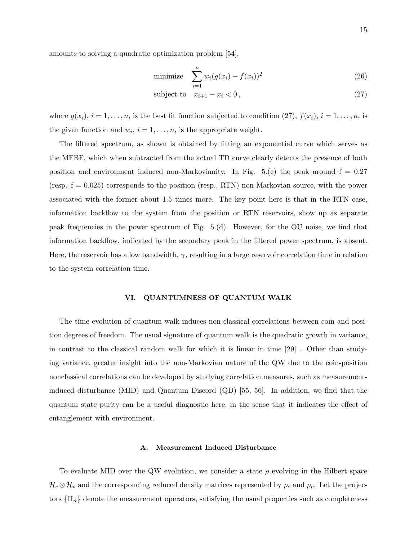amounts to solving a quadratic optimization problem [54],

minimize 
$$
\sum_{i=1}^{n} w_i (g(x_i) - f(x_i))^2
$$
 (26)

$$
subject to \t x_{i+1} - x_i < 0,\t(27)
$$

where  $g(x_i)$ ,  $i = 1, \ldots, n$ , is the best fit function subjected to condition (27),  $f(x_i)$ ,  $i = 1, \ldots, n$ , is the given function and  $w_i$ ,  $i = 1, \ldots, n$ , is the appropriate weight.

The filtered spectrum, as shown is obtained by fitting an exponential curve which serves as the MFBF, which when subtracted from the actual TD curve clearly detects the presence of both position and environment induced non-Markovianity. In Fig. 5.(c) the peak around  $f = 0.27$ (resp.  $f = 0.025$ ) corresponds to the position (resp., RTN) non-Markovian source, with the power associated with the former about 1.5 times more. The key point here is that in the RTN case, information backflow to the system from the position or RTN reservoirs, show up as separate peak frequencies in the power spectrum of Fig. 5.(d). However, for the OU noise, we find that information backflow, indicated by the secondary peak in the filtered power spectrum, is absent. Here, the reservoir has a low bandwidth,  $\gamma$ , resulting in a large reservoir correlation time in relation to the system correlation time.

# VI. QUANTUMNESS OF QUANTUM WALK

The time evolution of quantum walk induces non-classical correlations between coin and position degrees of freedom. The usual signature of quantum walk is the quadratic growth in variance, in contrast to the classical random walk for which it is linear in time [29] . Other than studying variance, greater insight into the non-Markovian nature of the QW due to the coin-position nonclassical correlations can be developed by studying correlation measures, such as measurementinduced disturbance (MID) and Quantum Discord (QD) [55, 56]. In addition, we find that the quantum state purity can be a useful diagnostic here, in the sense that it indicates the effect of entanglement with environment.

### A. Measurement Induced Disturbance

To evaluate MID over the QW evolution, we consider a state  $\rho$  evolving in the Hilbert space  $\mathcal{H}_c \otimes \mathcal{H}_p$  and the corresponding reduced density matrices represented by  $\rho_c$  and  $\rho_p$ . Let the projectors  $\{\Pi_n\}$  denote the measurement operators, satisfying the usual properties such as completeness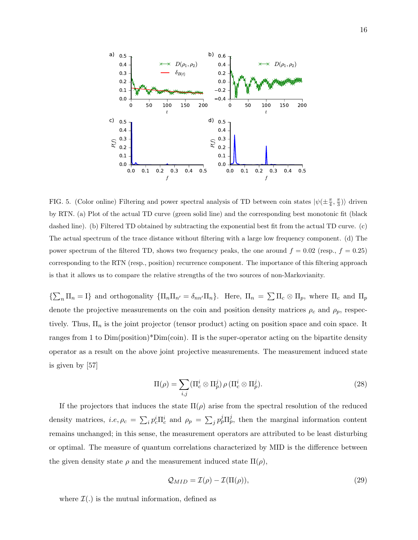

FIG. 5. (Color online) Filtering and power spectral analysis of TD between coin states  $|\psi(\pm \frac{\pi}{4}, \frac{\pi}{3})\rangle$  driven by RTN. (a) Plot of the actual TD curve (green solid line) and the corresponding best monotonic fit (black dashed line). (b) Filtered TD obtained by subtracting the exponential best fit from the actual TD curve. (c) The actual spectrum of the trace distance without filtering with a large low frequency component. (d) The power spectrum of the filtered TD, shows two frequency peaks, the one around  $f = 0.02$  (resp.,  $f = 0.25$ ) corresponding to the RTN (resp., position) recurrence component. The importance of this filtering approach is that it allows us to compare the relative strengths of the two sources of non-Markovianity.

 $\{\sum_n \Pi_n = I\}$  and orthogonality  $\{\Pi_n \Pi_{n'} = \delta_{nn'} \Pi_n\}$ . Here,  $\Pi_n = \sum \Pi_c \otimes \Pi_p$ , where  $\Pi_c$  and  $\Pi_p$ denote the projective measurements on the coin and position density matrices  $\rho_c$  and  $\rho_p$ , respectively. Thus,  $\Pi_n$  is the joint projector (tensor product) acting on position space and coin space. It ranges from 1 to Dim(position)\*Dim(coin). Π is the super-operator acting on the bipartite density operator as a result on the above joint projective measurements. The measurement induced state is given by [57]

$$
\Pi(\rho) = \sum_{i,j} (\Pi_c^i \otimes \Pi_p^j) \rho (\Pi_c^i \otimes \Pi_p^j).
$$
\n(28)

If the projectors that induces the state  $\Pi(\rho)$  arise from the spectral resolution of the reduced density matrices, *i.e.*  $\rho_c = \sum_i p_c^i \Pi_c^i$  and  $\rho_p = \sum_j p_p^j \Pi_p^j$ , then the marginal information content remains unchanged; in this sense, the measurement operators are attributed to be least disturbing or optimal. The measure of quantum correlations characterized by MID is the difference between the given density state  $\rho$  and the measurement induced state  $\Pi(\rho)$ ,

$$
Q_{MID} = \mathcal{I}(\rho) - \mathcal{I}(\Pi(\rho)),\tag{29}
$$

where  $\mathcal{I}(.)$  is the mutual information, defined as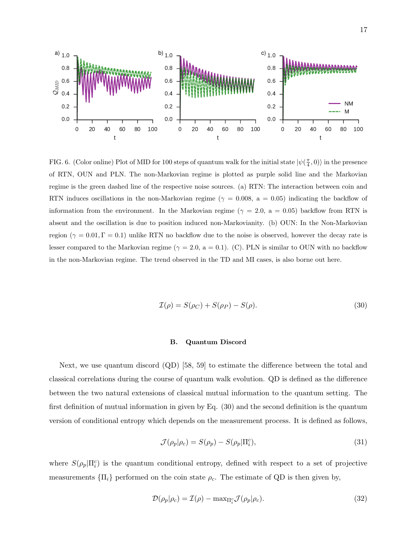

FIG. 6. (Color online) Plot of MID for 100 steps of quantum walk for the initial state  $|\psi(\frac{\pi}{4},0)\rangle$  in the presence of RTN, OUN and PLN. The non-Markovian regime is plotted as purple solid line and the Markovian regime is the green dashed line of the respective noise sources. (a) RTN: The interaction between coin and RTN induces oscillations in the non-Markovian regime ( $\gamma = 0.008$ , a = 0.05) indicating the backflow of information from the environment. In the Markovian regime ( $\gamma = 2.0$ , a = 0.05) backflow from RTN is absent and the oscillation is due to position induced non-Markovianity. (b) OUN: In the Non-Markovian region ( $\gamma = 0.01$ ,  $\Gamma = 0.1$ ) unlike RTN no backflow due to the noise is observed, however the decay rate is lesser compared to the Markovian regime ( $\gamma = 2.0$ , a = 0.1). (C). PLN is similar to OUN with no backflow in the non-Markovian regime. The trend observed in the TD and MI cases, is also borne out here.

$$
\mathcal{I}(\rho) = S(\rho_C) + S(\rho_P) - S(\rho). \tag{30}
$$

#### B. Quantum Discord

Next, we use quantum discord (QD) [58, 59] to estimate the difference between the total and classical correlations during the course of quantum walk evolution. QD is defined as the difference between the two natural extensions of classical mutual information to the quantum setting. The first definition of mutual information in given by Eq. (30) and the second definition is the quantum version of conditional entropy which depends on the measurement process. It is defined as follows,

$$
\mathcal{J}(\rho_p|\rho_c) = S(\rho_p) - S(\rho_p|\Pi_i^c),\tag{31}
$$

where  $S(\rho_p|\Pi_i^c)$  is the quantum conditional entropy, defined with respect to a set of projective measurements  $\{\Pi_i\}$  performed on the coin state  $\rho_c$ . The estimate of QD is then given by,

$$
\mathcal{D}(\rho_p|\rho_c) = \mathcal{I}(\rho) - \max_{\Pi_i^c} \mathcal{J}(\rho_p|\rho_c). \tag{32}
$$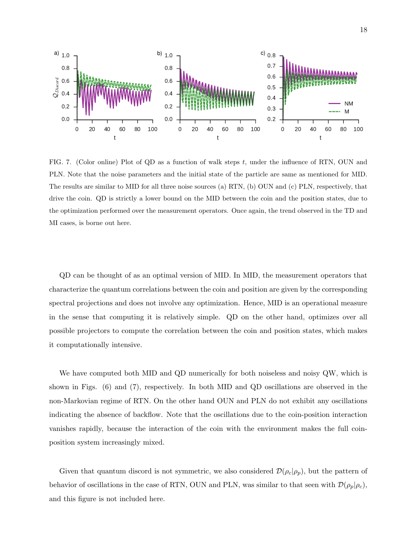

FIG. 7. (Color online) Plot of QD as a function of walk steps  $t$ , under the influence of RTN, OUN and PLN. Note that the noise parameters and the initial state of the particle are same as mentioned for MID. The results are similar to MID for all three noise sources (a) RTN, (b) OUN and (c) PLN, respectively, that drive the coin. QD is strictly a lower bound on the MID between the coin and the position states, due to the optimization performed over the measurement operators. Once again, the trend observed in the TD and MI cases, is borne out here.

QD can be thought of as an optimal version of MID. In MID, the measurement operators that characterize the quantum correlations between the coin and position are given by the corresponding spectral projections and does not involve any optimization. Hence, MID is an operational measure in the sense that computing it is relatively simple. QD on the other hand, optimizes over all possible projectors to compute the correlation between the coin and position states, which makes it computationally intensive.

We have computed both MID and QD numerically for both noiseless and noisy QW, which is shown in Figs. (6) and (7), respectively. In both MID and QD oscillations are observed in the non-Markovian regime of RTN. On the other hand OUN and PLN do not exhibit any oscillations indicating the absence of backflow. Note that the oscillations due to the coin-position interaction vanishes rapidly, because the interaction of the coin with the environment makes the full coinposition system increasingly mixed.

Given that quantum discord is not symmetric, we also considered  $\mathcal{D}(\rho_c|\rho_p)$ , but the pattern of behavior of oscillations in the case of RTN, OUN and PLN, was similar to that seen with  $\mathcal{D}(\rho_p|\rho_c)$ , and this figure is not included here.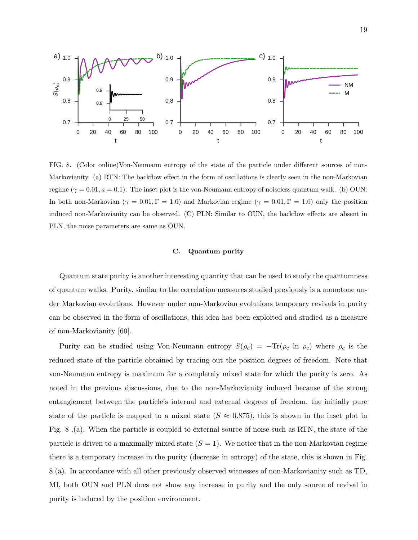

FIG. 8. (Color online)Von-Neumann entropy of the state of the particle under different sources of non-Markovianity. (a) RTN: The backflow effect in the form of oscillations is clearly seen in the non-Markovian regime ( $\gamma = 0.01, a = 0.1$ ). The inset plot is the von-Neumann entropy of noiseless quantum walk. (b) OUN: In both non-Markovian ( $\gamma = 0.01$ ,  $\Gamma = 1.0$ ) and Markovian regime ( $\gamma = 0.01$ ,  $\Gamma = 1.0$ ) only the position induced non-Markovianity can be observed. (C) PLN: Similar to OUN, the backflow effects are absent in PLN, the noise parameters are same as OUN.

### C. Quantum purity

Quantum state purity is another interesting quantity that can be used to study the quantumness of quantum walks. Purity, similar to the correlation measures studied previously is a monotone under Markovian evolutions. However under non-Markovian evolutions temporary revivals in purity can be observed in the form of oscillations, this idea has been exploited and studied as a measure of non-Markovianity [60].

Purity can be studied using Von-Neumann entropy  $S(\rho_c) = -\text{Tr}(\rho_c \ln \rho_c)$  where  $\rho_c$  is the reduced state of the particle obtained by tracing out the position degrees of freedom. Note that von-Neumann entropy is maximum for a completely mixed state for which the purity is zero. As noted in the previous discussions, due to the non-Markovianity induced because of the strong entanglement between the particle's internal and external degrees of freedom, the initially pure state of the particle is mapped to a mixed state  $(S \approx 0.875)$ , this is shown in the inset plot in Fig. 8 .(a). When the particle is coupled to external source of noise such as RTN, the state of the particle is driven to a maximally mixed state  $(S = 1)$ . We notice that in the non-Markovian regime there is a temporary increase in the purity (decrease in entropy) of the state, this is shown in Fig. 8.(a). In accordance with all other previously observed witnesses of non-Markovianity such as TD, MI, both OUN and PLN does not show any increase in purity and the only source of revival in purity is induced by the position environment.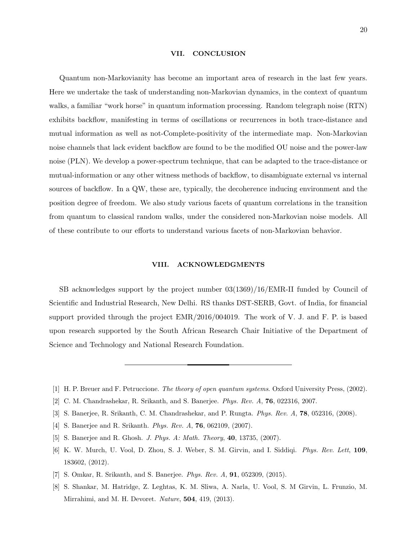#### VII. CONCLUSION

Quantum non-Markovianity has become an important area of research in the last few years. Here we undertake the task of understanding non-Markovian dynamics, in the context of quantum walks, a familiar "work horse" in quantum information processing. Random telegraph noise (RTN) exhibits backflow, manifesting in terms of oscillations or recurrences in both trace-distance and mutual information as well as not-Complete-positivity of the intermediate map. Non-Markovian noise channels that lack evident backflow are found to be the modified OU noise and the power-law noise (PLN). We develop a power-spectrum technique, that can be adapted to the trace-distance or mutual-information or any other witness methods of backflow, to disambiguate external vs internal sources of backflow. In a QW, these are, typically, the decoherence inducing environment and the position degree of freedom. We also study various facets of quantum correlations in the transition from quantum to classical random walks, under the considered non-Markovian noise models. All of these contribute to our efforts to understand various facets of non-Markovian behavior.

#### VIII. ACKNOWLEDGMENTS

SB acknowledges support by the project number 03(1369)/16/EMR-II funded by Council of Scientific and Industrial Research, New Delhi. RS thanks DST-SERB, Govt. of India, for financial support provided through the project EMR/2016/004019. The work of V. J. and F. P. is based upon research supported by the South African Research Chair Initiative of the Department of Science and Technology and National Research Foundation.

- [1] H. P. Breuer and F. Petruccione. *The theory of open quantum systems*. Oxford University Press, (2002).
- [2] C. M. Chandrashekar, R. Srikanth, and S. Banerjee. *Phys. Rev. A*, 76, 022316, 2007.
- [3] S. Banerjee, R. Srikanth, C. M. Chandrashekar, and P. Rungta. *Phys. Rev. A*, 78, 052316, (2008).
- [4] S. Banerjee and R. Srikanth. *Phys. Rev. A*, 76, 062109, (2007).
- [5] S. Banerjee and R. Ghosh. *J. Phys. A: Math. Theory*, 40, 13735, (2007).
- [6] K. W. Murch, U. Vool, D. Zhou, S. J. Weber, S. M. Girvin, and I. Siddiqi. *Phys. Rev. Lett*, 109, 183602, (2012).
- [7] S. Omkar, R. Srikanth, and S. Banerjee. *Phys. Rev. A*, 91, 052309, (2015).
- [8] S. Shankar, M. Hatridge, Z. Leghtas, K. M. Sliwa, A. Narla, U. Vool, S. M Girvin, L. Frunzio, M. Mirrahimi, and M. H. Devoret. *Nature*, 504, 419, (2013).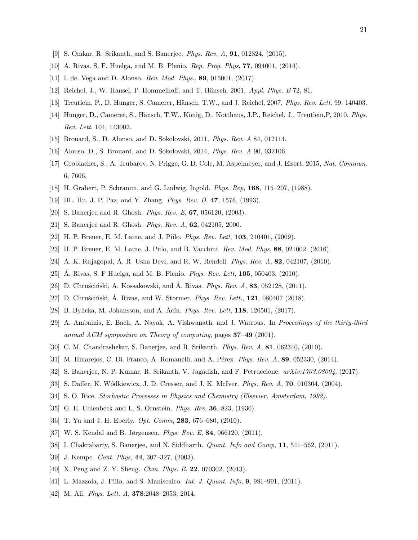- [9] S. Omkar, R. Srikanth, and S. Banerjee. *Phys. Rev. A*, 91, 012324, (2015).
- [10] A. Rivas, S. F. Huelga, and M. B. Plenio. *Rep. Prog. Phys*, 77, 094001, (2014).
- [11] I. de. Vega and D. Alonso. *Rev. Mod. Phys.*, 89, 015001, (2017).
- [12] Reichel, J., W. Hansel, P. Hommelhoff, and T. Hänsch, 2001, *Appl. Phys. B* 72, 81.
- [13] Treutlein, P., D. Hunger, S. Camerer, Hänsch, T.W., and J. Reichel, 2007, *Phys. Rev. Lett.* 99, 140403.
- [14] Hunger, D., Camerer, S., Hänsch, T.W., König, D., Kotthaus, J.P., Reichel, J., Treutlein,P, 2010, *Phys. Rev. Lett*. 104, 143002.
- [15] Brouard, S., D. Alonso, and D. Sokolovski, 2011, *Phys. Rev. A* 84, 012114.
- [16] Alonso, D., S. Brouard, and D. Sokolovski, 2014, *Phys. Rev. A* 90, 032106.
- [17] Groblacher, S., A. Trubarov, N. Prigge, G. D. Cole, M. Aspelmeyer, and J. Eisert, 2015, *Nat. Commun*. 6, 7606.
- [18] H. Grabert, P. Schramm, and G. Ludwig. Ingold. *Phys. Rep*, 168, 115–207, (1988).
- [19] BL. Hu, J. P. Paz, and Y. Zhang. *Phys. Rev. D*, 47, 1576, (1993).
- [20] S. Banerjee and R. Ghosh. *Phys. Rev. E*, 67, 056120, (2003).
- [21] S. Banerjee and R. Ghosh. *Phys. Rev. A*, 62, 042105, 2000.
- [22] H. P. Breuer, E. M. Laine, and J. Piilo. *Phys. Rev. Lett*, 103, 210401, (2009).
- [23] H. P. Breuer, E. M. Laine, J. Piilo, and B. Vacchini. *Rev. Mod. Phys*, 88, 021002, (2016).
- [24] A. K. Rajagopal, A. R. Usha Devi, and R. W. Rendell. *Phys. Rev. A*, 82, 042107, (2010).
- [25] Á. Rivas, S. F Huelga, and M. B. Plenio. *Phys. Rev. Lett*, **105**, 050403, (2010).
- [26] D. Chruscinski, A. Kossakowski, and A. Rivas. *Phys. Rev. A*, **83**, 052128, (2011).
- [27] D. Chruscinski, A. Rivas, and W. Stormer. *Phys. Rev. Lett.*, **121**, 080407 (2018).
- [28] B. Bylicka, M. Johansson, and A. Ac´ın. *Phys. Rev. Lett*, 118, 120501, (2017).
- [29] A. Ambainis, E. Bach, A. Nayak, A. Vishwanath, and J. Watrous. In *Proceedings of the thirty-third annual ACM symposium on Theory of computing*, pages 37–49 (2001).
- [30] C. M. Chandrashekar, S. Banerjee, and R. Srikanth. *Phys. Rev. A*, 81, 062340, (2010).
- [31] M. Hinarejos, C. Di. Franco, A. Romanelli, and A. Pérez. *Phys. Rev. A*, **89**, 052330, (2014).
- [32] S. Banerjee, N. P. Kumar, R. Srikanth, V. Jagadish, and F. Petruccione. *arXiv:1703.08004*, (2017).
- [33] S. Daffer, K. Wódkiewicz, J. D. Cresser, and J. K. McIver. *Phys. Rev. A*, **70**, 010304, (2004).
- [34] S. O. Rice. *Stochastic Processes in Physics and Chemistry (Elsevier, Amsterdam, 1992)*.
- [35] G. E. Uhlenbeck and L. S. Ornstein. *Phys. Rev*, 36, 823, (1930).
- [36] T. Yu and J. H. Eberly. *Opt. Comm*, 283, 676–680, (2010).
- [37] W. S. Kendal and B. Jørgensen. *Phys. Rev. E*, 84, 066120, (2011).
- [38] I. Chakrabarty, S. Banerjee, and N. Siddharth. *Quant. Info and Comp*, 11, 541–562, (2011).
- [39] J. Kempe. *Cont. Phys*, 44, 307–327, (2003).
- [40] X. Peng and Z. Y. Sheng. *Chin. Phys. B*, 22, 070302, (2013).
- [41] L. Mazzola, J. Piilo, and S. Maniscalco. *Int. J. Quant. Info*, 9, 981–991, (2011).
- [42] M. Ali. *Phys. Lett. A*, 378:2048–2053, 2014.